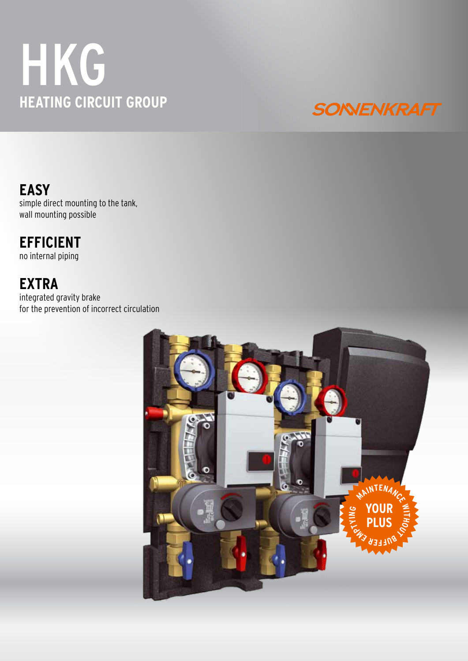# **HKG HEATING CIRCUIT GROUP**



**EASY** simple direct mounting to the tank, wall mounting possible

## **EFFICIENT**

no internal piping

### **EXTRA**

integrated gravity brake for the prevention of incorrect circulation